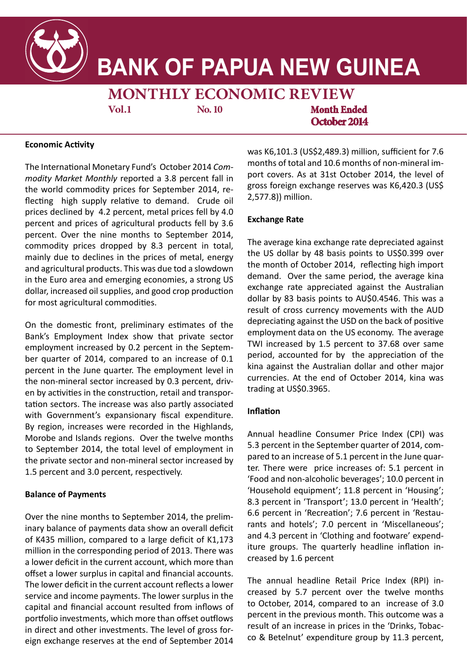

# **BANK OF PAPUA NEW GUINEA**

**MONTHLY ECONOMIC REVIEW**

**Vol.1** No. 10 **Month Ended Decoder 2014**<br> *<u>Decoder</u>* **Vol.1 No. 10 Month Ended October 2014**

## **Economic Activity Economic Activity**

The International Monetary Fund's October 2014 *Com*modity Market Monthly reported a 3.8 percent fall in the world commodity prices for September 2014, reflecting high supply relative to demand. Crude oil prices declined by 4.2 percent, metal prices fell by 4.0 percent and prices of agricultural products fell by 3.6 percent. Over the nine months to September 2014, commodity prices dropped by 8.3 percent in total, mainly due to declines in the prices of metal, energy in the Euro area and emerging economies, a strong US dollar, increased oil supplies, and good crop production for most agricultural commodities. and agricultural products. This was due tod a slowdown

and the winding down of the construction phase of the construction phase of the construction phase of the construction phase of the construction phase of the construction phase of the construction phase of the constructio On the domestic front, preliminary estimates of the Bank's Employment Index show that private sector employment increased by 0.2 percent in the September quarter of 2014, compared to an increase of 0.1 percent in the June quarter. The employment level in the non-mineral sector increased by 0.3 percent, driven by activities in the construction, retail and transportation sectors. The increase was also partly associated with Government's expansionary fiscal expenditure. By region, increases were recorded in the Highlands, Morobe and Islands regions. Over the twelve months to September 2014, the total level of employment in 1.5 percent and 3.0 percent, respectively. the private sector and non-mineral sector increased by

## in the third quarter by 3.1 percent but on an annual **Balance of Payments**

inary balance of payments data show an overall deficit of K435 million, compared to a large deficit of K1,173 million in the corresponding period of 2013. There was **Balance of Payments** offset a lower surplus in capital and financial accounts. service and income payments. The lower surplus in the capital and financial account resulted from inflows of portfolio investments, which more than offset outflows  $\frac{1}{2}$ ign exchange reserves at the end of Sentember 2014  $-$  CO & Betelnut' expenditure group by  $\frac{1}{2}$  2 eign exchange reserves at the end of September 2014  $T$  survey covers the major supermarkets in  $P$ Over the nine months to September 2014, the prelima lower deficit in the current account, which more than The lower deficit in the current account reflects a lower in direct and other investments. The level of gross for-

was K6,101.3 (US\$2,489.3) million, sufficient for 7.6 masher account account account months of total and 10.6 months of non-mineral import covers. As at 31st October 2014, the level of port concident at once occurrent account was K6,420.3 (US\$ sure and higher networks are networking to the more payments.  $\frac{1}{2}$ 

## **The surplus in the capital and financial account was account was account was account was account was account was account was account was account was account was account was account was account was account was account was**  $\mathcal{L}$  to net inflation for  $\mathcal{L}$  in the investment and  $\mathcal{L}$

The average kina exchange rate depreciated against the userage manimals. The level of presence of games the month of October 2014, reflecting high import demand. Over the same period, the average kina exchange rate appreciated against the Australian exchange rate appreciated against the Australian<br>dollar by 83 basis points to AU\$0.4546. This was a result of cross currency movements with the AUD **Exchange Rate** employment data on the US economy. The average The kina has stead and the US doesn't the US do the US\$0.4130 period, accounted for by the appreciation of the since November 2013. This follows the measures the kina against the Australian dollar and other major ning uganist the ridentified sends and constraint major banks, to support the kina besides the Central Bank in-trading at US\$0.3965.  $t_{\text{t}}$  is the foreign exchange matrix  $\sigma$ depreciating against the USD on the back of positive TWI increased by 1.5 percent to 37.68 over same

#### pace of depreciation during the period. The measures  $\overline{\phantom{a}}$  included allowing orders of  $3$  months orders orders orders orders orders orders orders orders or **Inflation**

Annual headline Consumer Price Index (CPI) was market, starting in October, and subsequently, only spot the September quarter of 2014, com-5.5 percent in the september quarter or 2014, com-<br>pared to an increase of 5.1 percent in the June quarter. There were price increases of: 5.1 percent in ian more none price increases on one percent in<br>'Food and non-alcoholic beverages'; 10.0 percent in due the new movements as the gas y lare person in 'Housing'; lar depreciated against the US dollar on the back of pos-8.3 percent in 'Transport'; 13.0 percent in 'Health'; itive growth outlook for the US economy. The average 6.6 percent in 'Recreation'; 7.6 percent in 'Restauore percent in Theoretical, 7.18 percent in Thestate rants and hotels'; 7.0 percent in 'Miscellaneous'; rants and notels; 7.0 percent in Iwiscellaneous;<br>and 4.3 percent in 'Clothing and footware' expendand the person in sociological coordinate superiories.<br>iture groups. The quarterly headline inflation in-**Inflation** creased by 1.6 percent

The annual headline Retail Price Index (RPI)<sup>2</sup> in to October, 2014, compared to an increase of 3.0 percent in the previous month. This outcome was a result of an increase in prices in the 'Drinks, Tobac-The annual headline Retail Price Index (RPI) inco & Betelnut' expenditure group by 11.3 percent,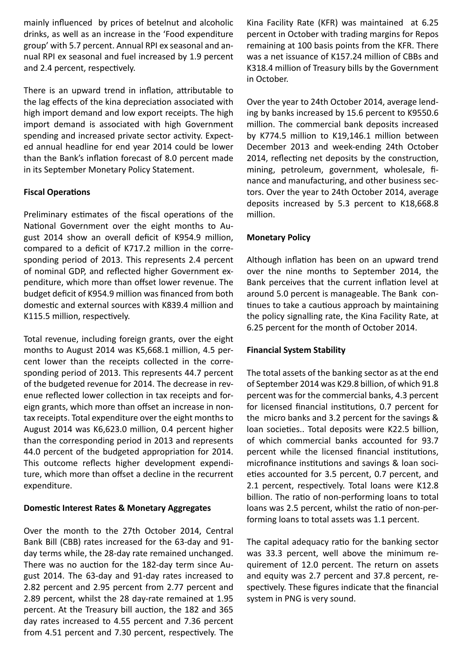mainly influenced by prices of betelnut and alcoholic drinks, as well as an increase in the 'Food expenditure group' with 5.7 percent. Annual RPI ex seasonal and annual RPI ex seasonal and fuel increased by 1.9 percent and 2.4 percent, respectively.

There is an upward trend in inflation, attributable to the lag effects of the kina depreciation associated with high import demand and low export receipts. The high import demand is associated with high Government spending and increased private sector activity. Expected annual headline for end year 2014 could be lower than the Bank's inflation forecast of 8.0 percent made in its September Monetary Policy Statement.

## **Fiscal Operations**

Preliminary estimates of the fiscal operations of the National Government over the eight months to August 2014 show an overall deficit of K954.9 million, compared to a deficit of K717.2 million in the corresponding period of 2013. This represents 2.4 percent of nominal GDP, and reflected higher Government expenditure, which more than offset lower revenue. The budget deficit of K954.9 million was financed from both domestic and external sources with K839.4 million and K115.5 million, respectively.

Total revenue, including foreign grants, over the eight months to August 2014 was K5,668.1 million, 4.5 percent lower than the receipts collected in the corresponding period of 2013. This represents 44.7 percent of the budgeted revenue for 2014. The decrease in revenue reflected lower collection in tax receipts and foreign grants, which more than offset an increase in nontax receipts. Total expenditure over the eight months to August 2014 was K6,623.0 million, 0.4 percent higher than the corresponding period in 2013 and represents 44.0 percent of the budgeted appropriation for 2014. This outcome reflects higher development expenditure, which more than offset a decline in the recurrent expenditure.

## **Domestic Interest Rates & Monetary Aggregates**

Over the month to the 27th October 2014, Central Bank Bill (CBB) rates increased for the 63-day and 91 day terms while, the 28-day rate remained unchanged. There was no auction for the 182-day term since August 2014. The 63-day and 91-day rates increased to 2.82 percent and 2.95 percent from 2.77 percent and 2.89 percent, whilst the 28 day-rate remained at 1.95 percent. At the Treasury bill auction, the 182 and 365 day rates increased to 4.55 percent and 7.36 percent from 4.51 percent and 7.30 percent, respectively. The

Kina Facility Rate (KFR) was maintained at 6.25 percent in October with trading margins for Repos remaining at 100 basis points from the KFR. There was a net issuance of K157.24 million of CBBs and K318.4 million of Treasury bills by the Government in October.

Over the year to 24th October 2014, average lending by banks increased by 15.6 percent to K9550.6 million. The commercial bank deposits increased by K774.5 million to K19,146.1 million between December 2013 and week-ending 24th October 2014, reflecting net deposits by the construction, mining, petroleum, government, wholesale, finance and manufacturing, and other business sectors. Over the year to 24th October 2014, average deposits increased by 5.3 percent to K18,668.8 million.

## **Monetary Policy**

Although inflation has been on an upward trend over the nine months to September 2014, the Bank perceives that the current inflation level at around 5.0 percent is manageable. The Bank continues to take a cautious approach by maintaining the policy signalling rate, the Kina Facility Rate, at 6.25 percent for the month of October 2014.

## **Financial System Stability**

The total assets of the banking sector as at the end of September 2014 was K29.8 billion, of which 91.8 percent was for the commercial banks, 4.3 percent for licensed financial institutions, 0.7 percent for the micro banks and 3.2 percent for the savings & loan societies.. Total deposits were K22.5 billion, of which commercial banks accounted for 93.7 percent while the licensed financial institutions, microfinance institutions and savings & loan societies accounted for 3.5 percent, 0.7 percent, and 2.1 percent, respectively. Total loans were K12.8 billion. The ratio of non-performing loans to total loans was 2.5 percent, whilst the ratio of non-performing loans to total assets was 1.1 percent.

The capital adequacy ratio for the banking sector was 33.3 percent, well above the minimum requirement of 12.0 percent. The return on assets and equity was 2.7 percent and 37.8 percent, respectively. These figures indicate that the financial system in PNG is very sound.